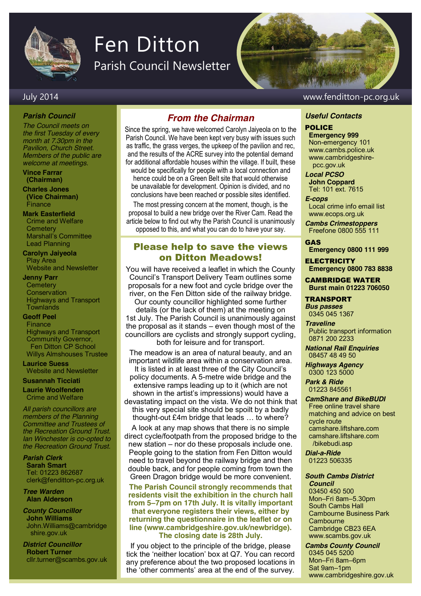

# Fen Ditton

Parish Council Newsletter

#### July 2014 www.fenditton-pc.org.uk

#### *Parish Council*

*The Council meets on the first Tuesday of every month at 7.30pm in the Pavilion, Church Street. Members of the public are welcome at meetings.*

**Vince Farrar (Chairman)**

**Charles Jones (Vice Chairman) Finance** 

#### **Mark Easterfield** Crime and Welfare

**Cemetery** Marshall's Committee Lead Planning

**Carolyn Jaiyeola** Play Area Website and Newsletter

#### **Jenny Parr**

**Cemetery Conservation** Highways and Transport **Townlands** 

#### **Geoff Peel**

Finance Highways and Transport Community Governor, Fen Ditton CP School Willys Almshouses Trustee

**Laurice Suess** Website and Newsletter

**Susannah Ticciati**

**Laurie Woolfenden** Crime and Welfare

*All parish councillors are members of the Planning Committee and Trustees of the Recreation Ground Trust. Ian Winchester is co-opted to the Recreation Ground Trust.*

*Parish Clerk* **Sarah Smart** Tel: 01223 862687 clerk@fenditton-pc.org.uk

*Tree Warden* **Alan Alderson**

*County Councillor* **John Williams** John.Williams@cambridge shire.gov.uk

*District Councillor* **Robert Turner** cllr.turner@scambs.gov.uk

#### *From the Chairman*

Since the spring, we have welcomed Carolyn Jaiyeola on to the Parish Council. We have been kept very busy with issues such as traffic, the grass verges, the upkeep of the pavilion and rec, and the results of the ACRE survey into the potential demand for additional affordable houses within the village. If built, these

would be specifically for people with a local connection and hence could be on a Green Belt site that would otherwise be unavailable for development. Opinion is divided, and no conclusions have been reached or possible sites identified.

The most pressing concern at the moment, though, is the proposal to build a new bridge over the River Cam. Read the article below to find out why the Parish Council is unanimously opposed to this, and what you can do to have your say.

#### Please help to save the views on Ditton Meadows!

You will have received a leaflet in which the County Council's Transport Delivery Team outlines some proposals for a new foot and cycle bridge over the river, on the Fen Ditton side of the railway bridge. Our county councillor highlighted some further details (or the lack of them) at the meeting on 1st July. The Parish Council is unanimously against the proposal as it stands – even though most of the councillors are cyclists and strongly support cycling, both for leisure and for transport.

The meadow is an area of natural beauty, and an important wildlife area within a conservation area. It is listed in at least three of the City Council's policy documents. A 5-metre wide bridge and the extensive ramps leading up to it (which are not shown in the artist's impressions) would have a devastating impact on the vista. We do not think that

this very special site should be spoilt by a badly thought-out £4m bridge that leads … to where?

A look at any map shows that there is no simple direct cycle/footpath from the proposed bridge to the new station – nor do these proposals include one. People going to the station from Fen Ditton would need to travel beyond the railway bridge and then double back, and for people coming from town the Green Dragon bridge would be more convenient.

**The Parish Council strongly recommends that residents visit the exhibition in the church hall from 5–7pm on 17th July. It is vitally important that everyone registers their views, either by returning the questionnaire in the leaflet or on line (www.cambridgeshire.gov.uk/newbridge). The closing date is 28th July.**

If you object to the principle of the bridge, please tick the 'neither location' box at Q7. You can record any preference about the two proposed locations in the 'other comments' area at the end of the survey.

#### *Useful Contacts*

#### POLICE

**Emergency 999** Non-emergency 101 www.cambs.police.uk www.cambridgeshire pcc.gov.uk

*Local PCSO* 

**John Coppard** Tel: 101 ext. 7615

#### *E-cops*

Local crime info email list www.ecops.org.uk

*Cambs Crimestoppers* Freefone 0800 555 111

#### GAS

**Emergency 0800 111 999**

**ELECTRICITY Emergency 0800 783 8838**

CAMBRIDGE WATER **Burst main 01223 706050**

TRANSPORT *Bus passes* 0345 045 1367

*Traveline* Public transport information 0871 200 2233

*National Rail Enquiries* 08457 48 49 50

*Highways Agency* 0300 123 5000

*Park & Ride* 01223 845561

#### *CamShare and BikeBUDI* Free online travel share matching and advice on best cycle route camshare.liftshare**.**com camshare.liftshare.com /bikebudi.asp

*Dial-a-Ride* 01223 506335

#### *South Cambs District Council* 03450 450 500

Mon–Fri 8am–5.30pm South Cambs Hall Cambourne Business Park **Cambourne** Cambridge CB23 6EA www.scambs.gov.uk

*Cambs County Council* 0345 045 5200 Mon–Fri 8am–6pm Sat 9am–1pm www.cambridgeshire.gov.uk